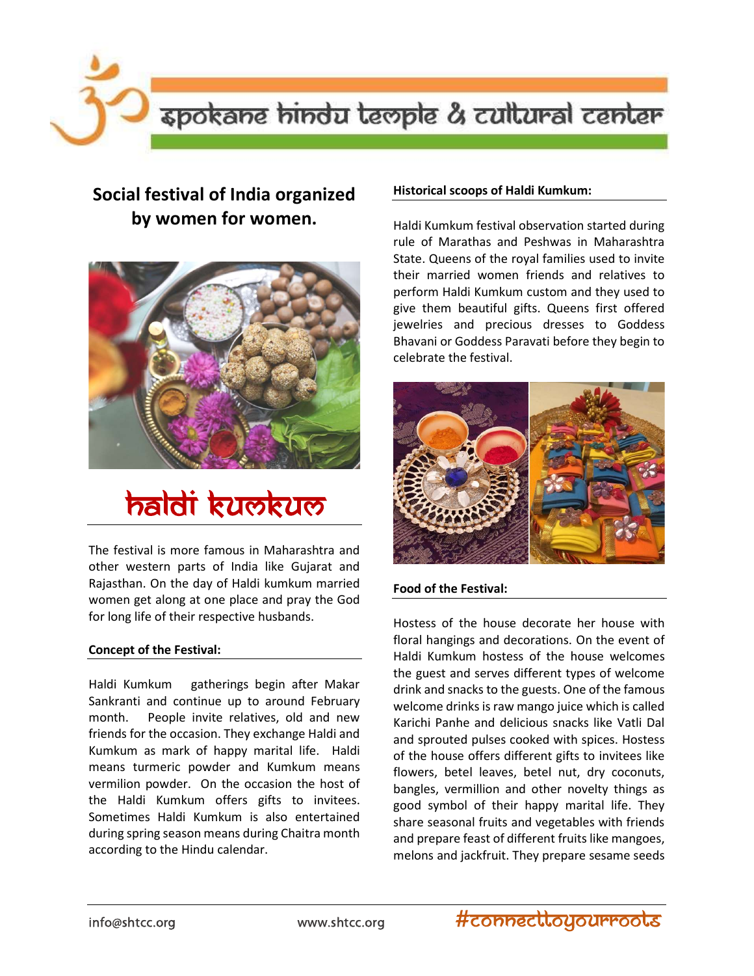spokane hindu teople & cultural center

# Social festival of India organized by women for women.



# **haldi kumkum**

The festival is more famous in Maharashtra and other western parts of India like Gujarat and Rajasthan. On the day of Haldi kumkum married women get along at one place and pray the God for long life of their respective husbands.

#### Concept of the Festival:

Haldi Kumkum gatherings begin after Makar Sankranti and continue up to around February month. People invite relatives, old and new friends for the occasion. They exchange Haldi and Kumkum as mark of happy marital life. Haldi means turmeric powder and Kumkum means vermilion powder. On the occasion the host of the Haldi Kumkum offers gifts to invitees. Sometimes Haldi Kumkum is also entertained during spring season means during Chaitra month according to the Hindu calendar.

## Historical scoops of Haldi Kumkum:

Haldi Kumkum festival observation started during rule of Marathas and Peshwas in Maharashtra State. Queens of the royal families used to invite their married women friends and relatives to perform Haldi Kumkum custom and they used to give them beautiful gifts. Queens first offered jewelries and precious dresses to Goddess Bhavani or Goddess Paravati before they begin to celebrate the festival.



#### Food of the Festival:

Hostess of the house decorate her house with floral hangings and decorations. On the event of Haldi Kumkum hostess of the house welcomes the guest and serves different types of welcome drink and snacks to the guests. One of the famous welcome drinks is raw mango juice which is called Karichi Panhe and delicious snacks like Vatli Dal and sprouted pulses cooked with spices. Hostess of the house offers different gifts to invitees like flowers, betel leaves, betel nut, dry coconuts, bangles, vermillion and other novelty things as good symbol of their happy marital life. They share seasonal fruits and vegetables with friends and prepare feast of different fruits like mangoes, melons and jackfruit. They prepare sesame seeds